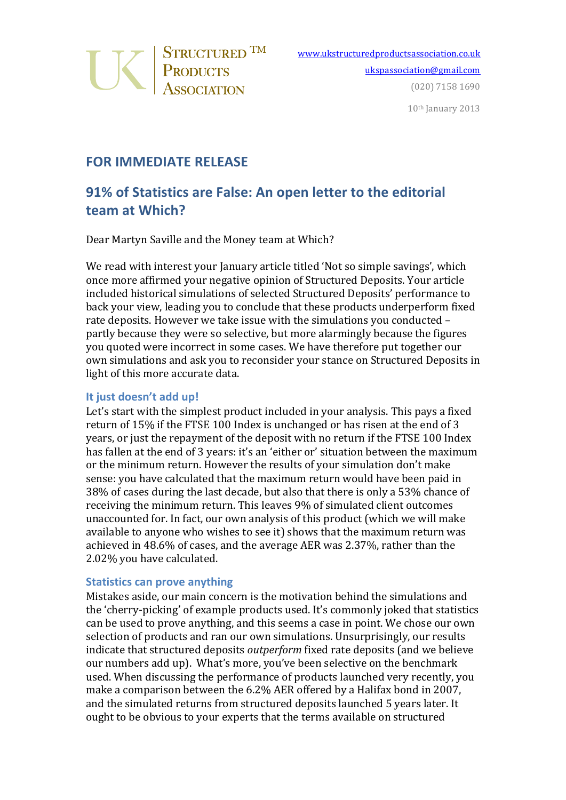

10th January 2013

## **FOR IMMEDIATE RELEASE**

# **91% of Statistics are False: An open letter to the editorial team at Which?**

Dear Martyn Saville and the Money team at Which?

We read with interest your January article titled 'Not so simple savings', which once more affirmed your negative opinion of Structured Deposits. Your article included historical simulations of selected Structured Deposits' performance to back your view, leading you to conclude that these products underperform fixed rate deposits. However we take issue with the simulations you conducted partly because they were so selective, but more alarmingly because the figures you quoted were incorrect in some cases. We have therefore put together our own simulations and ask you to reconsider your stance on Structured Deposits in light of this more accurate data.

#### **It just doesn't add up!**

Let's start with the simplest product included in your analysis. This pays a fixed return of 15% if the FTSE 100 Index is unchanged or has risen at the end of 3 years, or just the repayment of the deposit with no return if the FTSE 100 Index has fallen at the end of 3 years: it's an 'either or' situation between the maximum or the minimum return. However the results of your simulation don't make sense: you have calculated that the maximum return would have been paid in 38% of cases during the last decade, but also that there is only a 53% chance of receiving the minimum return. This leaves 9% of simulated client outcomes unaccounted for. In fact, our own analysis of this product (which we will make available to anyone who wishes to see it) shows that the maximum return was achieved in 48.6% of cases, and the average AER was 2.37%, rather than the 2.02% you have calculated.

#### **Statistics can prove anything**

Mistakes aside, our main concern is the motivation behind the simulations and the 'cherry-picking' of example products used. It's commonly joked that statistics can be used to prove anything, and this seems a case in point. We chose our own selection of products and ran our own simulations. Unsurprisingly, our results indicate that structured deposits *outperform* fixed rate deposits (and we believe our numbers add up). What's more, you've been selective on the benchmark used. When discussing the performance of products launched very recently, you make a comparison between the 6.2% AER offered by a Halifax bond in 2007, and the simulated returns from structured deposits launched 5 years later. It ought to be obvious to your experts that the terms available on structured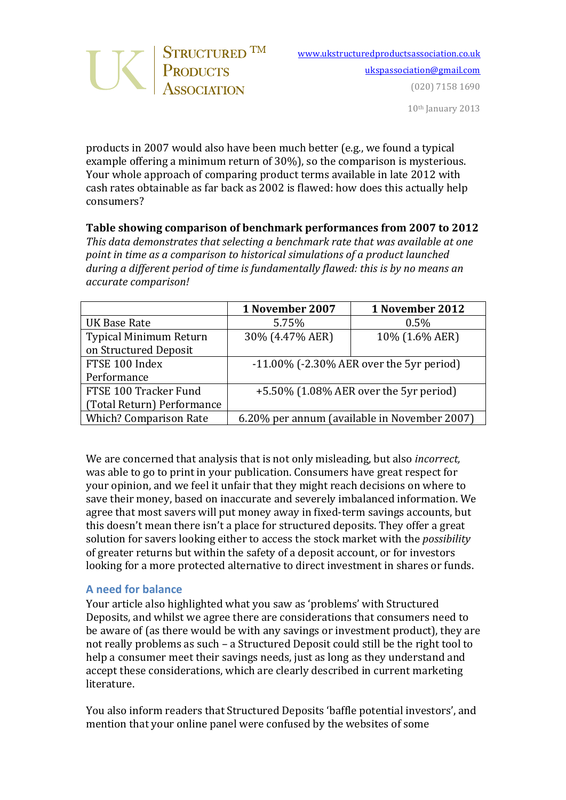

products in 2007 would also have been much better (e.g., we found a typical example offering a minimum return of 30%), so the comparison is mysterious. Your whole approach of comparing product terms available in late 2012 with cash rates obtainable as far back as 2002 is flawed: how does this actually help consumers?

### **Table showing comparison of benchmark performances from 2007 to 2012**

*This data demonstrates that selecting a benchmark rate that was available at one point in time as a comparison to historical simulations of a product launched* during a different period of time is fundamentally flawed: this is by no means an *accurate comparison!*

|                               | 1 November 2007                                 | 1 November 2012 |
|-------------------------------|-------------------------------------------------|-----------------|
| UK Base Rate                  | 5.75%                                           | 0.5%            |
| Typical Minimum Return        | 30% (4.47% AER)                                 | 10% (1.6% AER)  |
| on Structured Deposit         |                                                 |                 |
| FTSE 100 Index                | $-11.00\%$ ( $-2.30\%$ AER over the 5yr period) |                 |
| Performance                   |                                                 |                 |
| FTSE 100 Tracker Fund         | $+5.50\%$ (1.08% AER over the 5yr period)       |                 |
| (Total Return) Performance    |                                                 |                 |
| <b>Which? Comparison Rate</b> | 6.20% per annum (available in November 2007)    |                 |

We are concerned that analysis that is not only misleading, but also *incorrect*, was able to go to print in your publication. Consumers have great respect for your opinion, and we feel it unfair that they might reach decisions on where to save their money, based on inaccurate and severely imbalanced information. We agree that most savers will put money away in fixed-term savings accounts, but this doesn't mean there isn't a place for structured deposits. They offer a great solution for savers looking either to access the stock market with the *possibility* of greater returns but within the safety of a deposit account, or for investors looking for a more protected alternative to direct investment in shares or funds.

#### **A need for balance**

Your article also highlighted what you saw as 'problems' with Structured Deposits, and whilst we agree there are considerations that consumers need to be aware of (as there would be with any savings or investment product), they are not really problems as such - a Structured Deposit could still be the right tool to help a consumer meet their savings needs, just as long as they understand and accept these considerations, which are clearly described in current marketing literature.

You also inform readers that Structured Deposits 'baffle potential investors', and mention that your online panel were confused by the websites of some